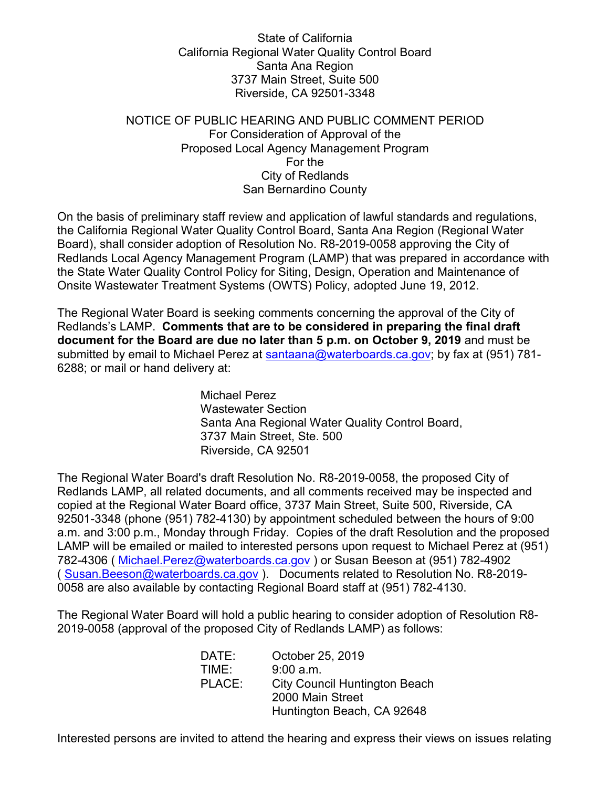State of California California Regional Water Quality Control Board Santa Ana Region 3737 Main Street, Suite 500 Riverside, CA 92501-3348

## NOTICE OF PUBLIC HEARING AND PUBLIC COMMENT PERIOD For Consideration of Approval of the Proposed Local Agency Management Program For the City of Redlands San Bernardino County

On the basis of preliminary staff review and application of lawful standards and regulations, the California Regional Water Quality Control Board, Santa Ana Region (Regional Water Board), shall consider adoption of Resolution No. R8-2019-0058 approving the City of Redlands Local Agency Management Program (LAMP) that was prepared in accordance with the State Water Quality Control Policy for Siting, Design, Operation and Maintenance of Onsite Wastewater Treatment Systems (OWTS) Policy, adopted June 19, 2012.

The Regional Water Board is seeking comments concerning the approval of the City of Redlands's LAMP. **Comments that are to be considered in preparing the final draft document for the Board are due no later than 5 p.m. on October 9, 2019** and must be submitted by email to Michael Perez at [santaana@waterboards.ca.gov](mailto:santaana@waterboards.ca.gov); by fax at (951) 781-6288; or mail or hand delivery at:

> Michael Perez Wastewater Section Santa Ana Regional Water Quality Control Board, 3737 Main Street, Ste. 500 Riverside, CA 92501

The Regional Water Board's draft Resolution No. R8-2019-0058, the proposed City of Redlands LAMP, all related documents, and all comments received may be inspected and copied at the Regional Water Board office, 3737 Main Street, Suite 500, Riverside, CA 92501-3348 (phone (951) 782-4130) by appointment scheduled between the hours of 9:00 a.m. and 3:00 p.m., Monday through Friday. Copies of the draft Resolution and the proposed LAMP will be emailed or mailed to interested persons upon request to Michael Perez at (951) 782-4306 (Michael.Perez@waterboards.ca.gov) or Susan Beeson at (951) 782-4902 ( [Susan.Beeson@waterboards.ca.gov](mailto:Susan.Beeson@waterboards.ca.gov) ). Documents related to Resolution No. R8-2019- 0058 are also available by contacting Regional Board staff at (951) 782-4130.

The Regional Water Board will hold a public hearing to consider adoption of Resolution R8- 2019-0058 (approval of the proposed City of Redlands LAMP) as follows:

| DATE:  | October 25, 2019                     |
|--------|--------------------------------------|
| TIME:  | 9:00 a.m.                            |
| PLACE: | <b>City Council Huntington Beach</b> |
|        | 2000 Main Street                     |
|        | Huntington Beach, CA 92648           |

Interested persons are invited to attend the hearing and express their views on issues relating